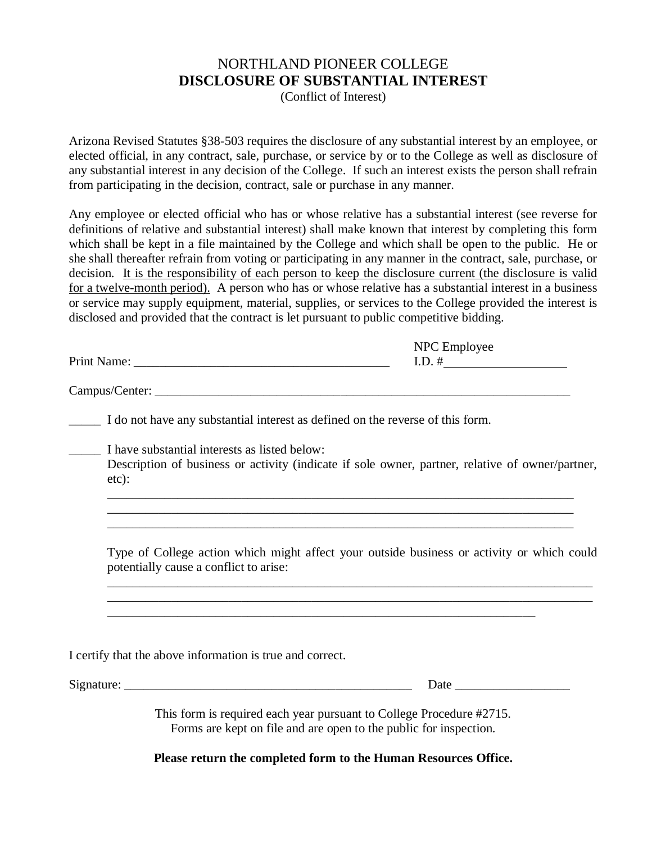## NORTHLAND PIONEER COLLEGE **DISCLOSURE OF SUBSTANTIAL INTEREST**

(Conflict of Interest)

Arizona Revised Statutes §38-503 requires the disclosure of any substantial interest by an employee, or elected official, in any contract, sale, purchase, or service by or to the College as well as disclosure of any substantial interest in any decision of the College. If such an interest exists the person shall refrain from participating in the decision, contract, sale or purchase in any manner.

Any employee or elected official who has or whose relative has a substantial interest (see reverse for definitions of relative and substantial interest) shall make known that interest by completing this form which shall be kept in a file maintained by the College and which shall be open to the public. He or she shall thereafter refrain from voting or participating in any manner in the contract, sale, purchase, or decision. It is the responsibility of each person to keep the disclosure current (the disclosure is valid for a twelve-month period). A person who has or whose relative has a substantial interest in a business or service may supply equipment, material, supplies, or services to the College provided the interest is disclosed and provided that the contract is let pursuant to public competitive bidding.

|             | NPC Employee |
|-------------|--------------|
| Print Name: |              |
|             |              |

Campus/Center: \_\_\_\_\_\_\_\_\_\_\_\_\_\_\_\_\_\_\_\_\_\_\_\_\_\_\_\_\_\_\_\_\_\_\_\_\_\_\_\_\_\_\_\_\_\_\_\_\_\_\_\_\_\_\_\_\_\_\_\_\_\_\_\_\_

\_\_\_\_\_ I do not have any substantial interest as defined on the reverse of this form.

I have substantial interests as listed below:

Description of business or activity (indicate if sole owner, partner, relative of owner/partner, etc):

\_\_\_\_\_\_\_\_\_\_\_\_\_\_\_\_\_\_\_\_\_\_\_\_\_\_\_\_\_\_\_\_\_\_\_\_\_\_\_\_\_\_\_\_\_\_\_\_\_\_\_\_\_\_\_\_\_\_\_\_\_\_\_\_\_\_\_\_\_\_\_\_\_ \_\_\_\_\_\_\_\_\_\_\_\_\_\_\_\_\_\_\_\_\_\_\_\_\_\_\_\_\_\_\_\_\_\_\_\_\_\_\_\_\_\_\_\_\_\_\_\_\_\_\_\_\_\_\_\_\_\_\_\_\_\_\_\_\_\_\_\_\_\_\_\_\_ \_\_\_\_\_\_\_\_\_\_\_\_\_\_\_\_\_\_\_\_\_\_\_\_\_\_\_\_\_\_\_\_\_\_\_\_\_\_\_\_\_\_\_\_\_\_\_\_\_\_\_\_\_\_\_\_\_\_\_\_\_\_\_\_\_\_\_\_\_\_\_\_\_

Type of College action which might affect your outside business or activity or which could potentially cause a conflict to arise:

I certify that the above information is true and correct.

 $Signature:$   $Date \_$ 

This form is required each year pursuant to College Procedure #2715. Forms are kept on file and are open to the public for inspection.

\_\_\_\_\_\_\_\_\_\_\_\_\_\_\_\_\_\_\_\_\_\_\_\_\_\_\_\_\_\_\_\_\_\_\_\_\_\_\_\_\_\_\_\_\_\_\_\_\_\_\_\_\_\_\_\_\_\_\_\_\_\_\_\_\_\_\_

**Please return the completed form to the Human Resources Office.**